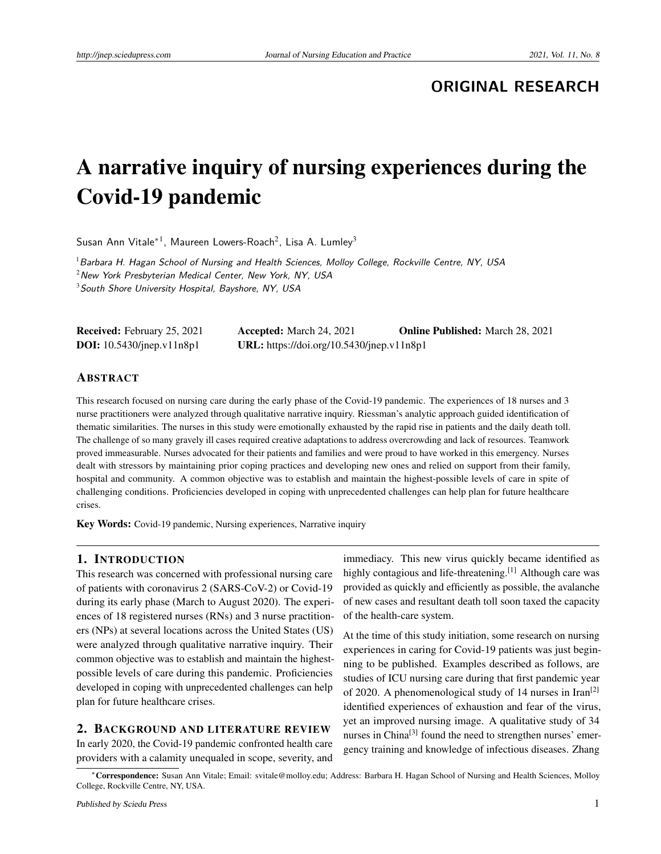**ORIGINAL RESEARCH**

# A narrative inquiry of nursing experiences during the Covid-19 pandemic

Susan Ann Vitale<sup>∗1</sup>, Maureen Lowers-Roach<sup>2</sup>, Lisa A. Lumley<sup>3</sup>

<sup>1</sup> Barbara H. Hagan School of Nursing and Health Sciences, Molloy College, Rockville Centre, NY, USA  $2$ New York Presbyterian Medical Center, New York, NY, USA <sup>3</sup> South Shore University Hospital, Bayshore, NY, USA

Received: February 25, 2021 Accepted: March 24, 2021 Online Published: March 28, 2021 DOI: 10.5430/jnep.v11n8p1 URL: https://doi.org/10.5430/jnep.v11n8p1

#### ABSTRACT

This research focused on nursing care during the early phase of the Covid-19 pandemic. The experiences of 18 nurses and 3 nurse practitioners were analyzed through qualitative narrative inquiry. Riessman's analytic approach guided identification of thematic similarities. The nurses in this study were emotionally exhausted by the rapid rise in patients and the daily death toll. The challenge of so many gravely ill cases required creative adaptations to address overcrowding and lack of resources. Teamwork proved immeasurable. Nurses advocated for their patients and families and were proud to have worked in this emergency. Nurses dealt with stressors by maintaining prior coping practices and developing new ones and relied on support from their family, hospital and community. A common objective was to establish and maintain the highest-possible levels of care in spite of challenging conditions. Proficiencies developed in coping with unprecedented challenges can help plan for future healthcare crises.

Key Words: Covid-19 pandemic, Nursing experiences, Narrative inquiry

### 1. INTRODUCTION

This research was concerned with professional nursing care of patients with coronavirus 2 (SARS-CoV-2) or Covid-19 during its early phase (March to August 2020). The experiences of 18 registered nurses (RNs) and 3 nurse practitioners (NPs) at several locations across the United States (US) were analyzed through qualitative narrative inquiry. Their common objective was to establish and maintain the highestpossible levels of care during this pandemic. Proficiencies developed in coping with unprecedented challenges can help plan for future healthcare crises.

# 2. BACKGROUND AND LITERATURE REVIEW

In early 2020, the Covid-19 pandemic confronted health care providers with a calamity unequaled in scope, severity, and

immediacy. This new virus quickly became identified as highly contagious and life-threatening.<sup>[\[1\]](#page-8-0)</sup> Although care was provided as quickly and efficiently as possible, the avalanche of new cases and resultant death toll soon taxed the capacity of the health-care system.

At the time of this study initiation, some research on nursing experiences in caring for Covid-19 patients was just beginning to be published. Examples described as follows, are studies of ICU nursing care during that first pandemic year of 2020. A phenomenological study of 14 nurses in Iran<sup>[\[2\]](#page-8-1)</sup> identified experiences of exhaustion and fear of the virus, yet an improved nursing image. A qualitative study of 34 nurses in China<sup>[\[3\]](#page-8-2)</sup> found the need to strengthen nurses' emergency training and knowledge of infectious diseases. Zhang

<sup>∗</sup>Correspondence: Susan Ann Vitale; Email: svitale@molloy.edu; Address: Barbara H. Hagan School of Nursing and Health Sciences, Molloy College, Rockville Centre, NY, USA.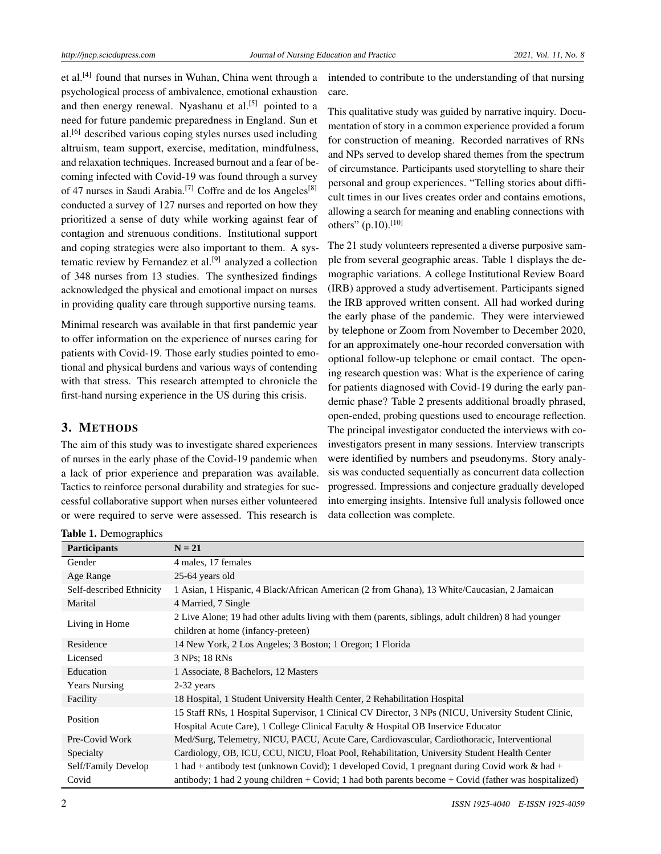et al.<sup>[\[4\]](#page-8-3)</sup> found that nurses in Wuhan, China went through a psychological process of ambivalence, emotional exhaustion and then energy renewal. Nyashanu et al.<sup>[\[5\]](#page-8-4)</sup> pointed to a need for future pandemic preparedness in England. Sun et  $al.<sup>[6]</sup>$  $al.<sup>[6]</sup>$  $al.<sup>[6]</sup>$  described various coping styles nurses used including altruism, team support, exercise, meditation, mindfulness, and relaxation techniques. Increased burnout and a fear of becoming infected with Covid-19 was found through a survey of 47 nurses in Saudi Arabia.<sup>[\[7\]](#page-8-6)</sup> Coffre and de los Angeles<sup>[\[8\]](#page-8-7)</sup> conducted a survey of 127 nurses and reported on how they prioritized a sense of duty while working against fear of contagion and strenuous conditions. Institutional support and coping strategies were also important to them. A sys-tematic review by Fernandez et al.<sup>[\[9\]](#page-8-8)</sup> analyzed a collection of 348 nurses from 13 studies. The synthesized findings acknowledged the physical and emotional impact on nurses in providing quality care through supportive nursing teams.

Minimal research was available in that first pandemic year to offer information on the experience of nurses caring for patients with Covid-19. Those early studies pointed to emotional and physical burdens and various ways of contending with that stress. This research attempted to chronicle the first-hand nursing experience in the US during this crisis.

# 3. METHODS

The aim of this study was to investigate shared experiences of nurses in the early phase of the Covid-19 pandemic when a lack of prior experience and preparation was available. Tactics to reinforce personal durability and strategies for successful collaborative support when nurses either volunteered or were required to serve were assessed. This research is

intended to contribute to the understanding of that nursing care.

This qualitative study was guided by narrative inquiry. Documentation of story in a common experience provided a forum for construction of meaning. Recorded narratives of RNs and NPs served to develop shared themes from the spectrum of circumstance. Participants used storytelling to share their personal and group experiences. "Telling stories about difficult times in our lives creates order and contains emotions, allowing a search for meaning and enabling connections with others" (p.10).<sup>[\[10\]](#page-8-9)</sup>

The 21 study volunteers represented a diverse purposive sample from several geographic areas. Table 1 displays the demographic variations. A college Institutional Review Board (IRB) approved a study advertisement. Participants signed the IRB approved written consent. All had worked during the early phase of the pandemic. They were interviewed by telephone or Zoom from November to December 2020, for an approximately one-hour recorded conversation with optional follow-up telephone or email contact. The opening research question was: What is the experience of caring for patients diagnosed with Covid-19 during the early pandemic phase? Table 2 presents additional broadly phrased, open-ended, probing questions used to encourage reflection. The principal investigator conducted the interviews with coinvestigators present in many sessions. Interview transcripts were identified by numbers and pseudonyms. Story analysis was conducted sequentially as concurrent data collection progressed. Impressions and conjecture gradually developed into emerging insights. Intensive full analysis followed once data collection was complete.

| <b>Participants</b>      | $N = 21$                                                                                              |  |  |
|--------------------------|-------------------------------------------------------------------------------------------------------|--|--|
| Gender                   | 4 males, 17 females                                                                                   |  |  |
| Age Range                | 25-64 years old                                                                                       |  |  |
| Self-described Ethnicity | 1 Asian, 1 Hispanic, 4 Black/African American (2 from Ghana), 13 White/Caucasian, 2 Jamaican          |  |  |
| Marital                  | 4 Married, 7 Single                                                                                   |  |  |
| Living in Home           | 2 Live Alone; 19 had other adults living with them (parents, siblings, adult children) 8 had younger  |  |  |
|                          | children at home (infancy-preteen)                                                                    |  |  |
| Residence                | 14 New York, 2 Los Angeles; 3 Boston; 1 Oregon; 1 Florida                                             |  |  |
| Licensed                 | 3 NPs; 18 RNs                                                                                         |  |  |
| Education                | 1 Associate, 8 Bachelors, 12 Masters                                                                  |  |  |
| <b>Years Nursing</b>     | $2-32$ years                                                                                          |  |  |
| Facility                 | 18 Hospital, 1 Student University Health Center, 2 Rehabilitation Hospital                            |  |  |
| Position                 | 15 Staff RNs, 1 Hospital Supervisor, 1 Clinical CV Director, 3 NPs (NICU, University Student Clinic,  |  |  |
|                          | Hospital Acute Care), 1 College Clinical Faculty & Hospital OB Inservice Educator                     |  |  |
| Pre-Covid Work           | Med/Surg, Telemetry, NICU, PACU, Acute Care, Cardiovascular, Cardiothoracic, Interventional           |  |  |
| Specialty                | Cardiology, OB, ICU, CCU, NICU, Float Pool, Rehabilitation, University Student Health Center          |  |  |
| Self/Family Develop      | 1 had + antibody test (unknown Covid); 1 developed Covid, 1 pregnant during Covid work $\&$ had +     |  |  |
| Covid                    | antibody; 1 had 2 young children + Covid; 1 had both parents become + Covid (father was hospitalized) |  |  |

Table 1. Demographics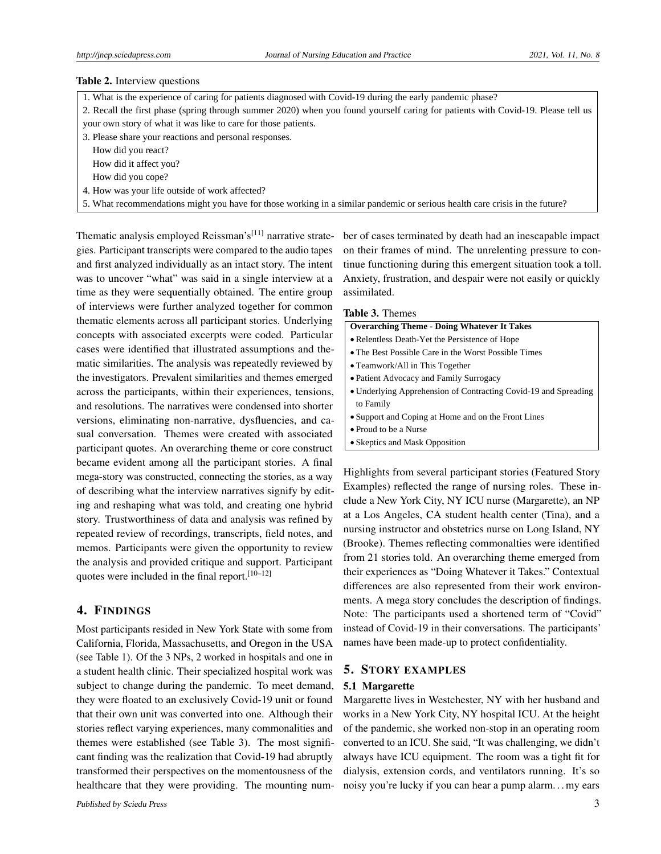#### Table 2. Interview questions

- 1. What is the experience of caring for patients diagnosed with Covid-19 during the early pandemic phase? 2. Recall the first phase (spring through summer 2020) when you found yourself caring for patients with Covid-19. Please tell us your own story of what it was like to care for those patients.
- 3. Please share your reactions and personal responses.

How did you react?

How did it affect you?

How did you cope?

4. How was your life outside of work affected?

5. What recommendations might you have for those working in a similar pandemic or serious health care crisis in the future?

Thematic analysis employed Reissman's<sup>[\[11\]](#page-8-10)</sup> narrative strategies. Participant transcripts were compared to the audio tapes and first analyzed individually as an intact story. The intent was to uncover "what" was said in a single interview at a time as they were sequentially obtained. The entire group of interviews were further analyzed together for common thematic elements across all participant stories. Underlying concepts with associated excerpts were coded. Particular cases were identified that illustrated assumptions and thematic similarities. The analysis was repeatedly reviewed by the investigators. Prevalent similarities and themes emerged across the participants, within their experiences, tensions, and resolutions. The narratives were condensed into shorter versions, eliminating non-narrative, dysfluencies, and casual conversation. Themes were created with associated participant quotes. An overarching theme or core construct became evident among all the participant stories. A final mega-story was constructed, connecting the stories, as a way of describing what the interview narratives signify by editing and reshaping what was told, and creating one hybrid story. Trustworthiness of data and analysis was refined by repeated review of recordings, transcripts, field notes, and memos. Participants were given the opportunity to review the analysis and provided critique and support. Participant quotes were included in the final report.[\[10–](#page-8-9)[12\]](#page-8-11)

# 4. FINDINGS

Most participants resided in New York State with some from California, Florida, Massachusetts, and Oregon in the USA (see Table 1). Of the 3 NPs, 2 worked in hospitals and one in a student health clinic. Their specialized hospital work was subject to change during the pandemic. To meet demand, they were floated to an exclusively Covid-19 unit or found that their own unit was converted into one. Although their stories reflect varying experiences, many commonalities and themes were established (see Table 3). The most significant finding was the realization that Covid-19 had abruptly transformed their perspectives on the momentousness of the healthcare that they were providing. The mounting number of cases terminated by death had an inescapable impact on their frames of mind. The unrelenting pressure to continue functioning during this emergent situation took a toll. Anxiety, frustration, and despair were not easily or quickly assimilated.

|  |  | <b>Table 3. Themes</b> |
|--|--|------------------------|
|--|--|------------------------|

| <b>Overarching Theme - Doing Whatever It Takes</b>              |  |  |
|-----------------------------------------------------------------|--|--|
| • Relentless Death-Yet the Persistence of Hope                  |  |  |
| • The Best Possible Care in the Worst Possible Times            |  |  |
| • Teamwork/All in This Together                                 |  |  |
| • Patient Advocacy and Family Surrogacy                         |  |  |
| • Underlying Apprehension of Contracting Covid-19 and Spreading |  |  |
| to Family                                                       |  |  |
| • Support and Coping at Home and on the Front Lines             |  |  |
| • Proud to be a Nurse                                           |  |  |
| • Skeptics and Mask Opposition                                  |  |  |
|                                                                 |  |  |

Highlights from several participant stories (Featured Story Examples) reflected the range of nursing roles. These include a New York City, NY ICU nurse (Margarette), an NP at a Los Angeles, CA student health center (Tina), and a nursing instructor and obstetrics nurse on Long Island, NY (Brooke). Themes reflecting commonalties were identified from 21 stories told. An overarching theme emerged from their experiences as "Doing Whatever it Takes." Contextual differences are also represented from their work environments. A mega story concludes the description of findings. Note: The participants used a shortened term of "Covid" instead of Covid-19 in their conversations. The participants' names have been made-up to protect confidentiality.

#### 5. STORY EXAMPLES

#### 5.1 Margarette

Margarette lives in Westchester, NY with her husband and works in a New York City, NY hospital ICU. At the height of the pandemic, she worked non-stop in an operating room converted to an ICU. She said, "It was challenging, we didn't always have ICU equipment. The room was a tight fit for dialysis, extension cords, and ventilators running. It's so noisy you're lucky if you can hear a pump alarm. . . my ears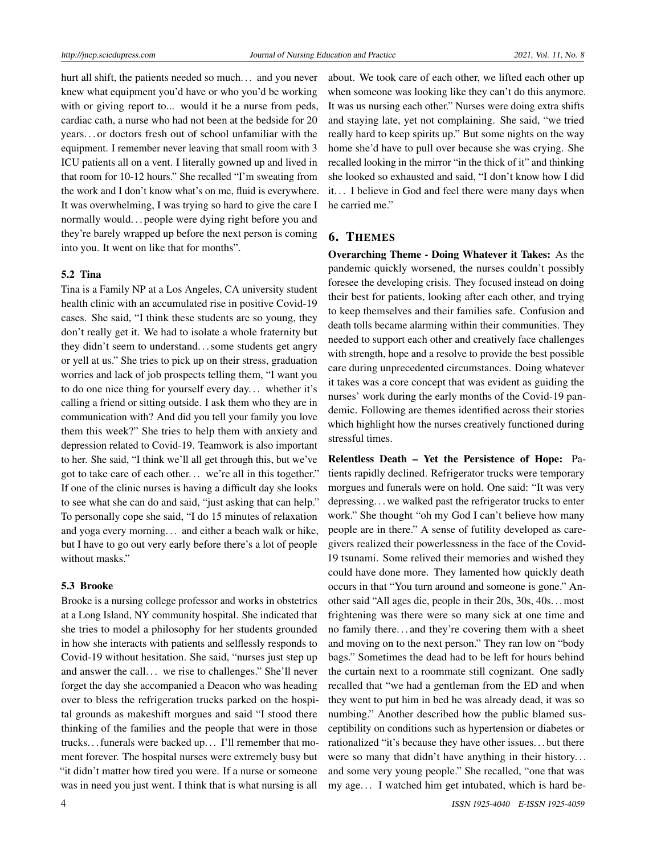hurt all shift, the patients needed so much... and you never knew what equipment you'd have or who you'd be working with or giving report to... would it be a nurse from peds, cardiac cath, a nurse who had not been at the bedside for 20 years. . . or doctors fresh out of school unfamiliar with the equipment. I remember never leaving that small room with 3 ICU patients all on a vent. I literally gowned up and lived in that room for 10-12 hours." She recalled "I'm sweating from the work and I don't know what's on me, fluid is everywhere. It was overwhelming, I was trying so hard to give the care I normally would. . . people were dying right before you and they're barely wrapped up before the next person is coming into you. It went on like that for months".

#### 5.2 Tina

Tina is a Family NP at a Los Angeles, CA university student health clinic with an accumulated rise in positive Covid-19 cases. She said, "I think these students are so young, they don't really get it. We had to isolate a whole fraternity but they didn't seem to understand. . . some students get angry or yell at us." She tries to pick up on their stress, graduation worries and lack of job prospects telling them, "I want you to do one nice thing for yourself every day. . . whether it's calling a friend or sitting outside. I ask them who they are in communication with? And did you tell your family you love them this week?" She tries to help them with anxiety and depression related to Covid-19. Teamwork is also important to her. She said, "I think we'll all get through this, but we've got to take care of each other. . . we're all in this together." If one of the clinic nurses is having a difficult day she looks to see what she can do and said, "just asking that can help." To personally cope she said, "I do 15 minutes of relaxation and yoga every morning. . . and either a beach walk or hike, but I have to go out very early before there's a lot of people without masks."

#### 5.3 Brooke

Brooke is a nursing college professor and works in obstetrics at a Long Island, NY community hospital. She indicated that she tries to model a philosophy for her students grounded in how she interacts with patients and selflessly responds to Covid-19 without hesitation. She said, "nurses just step up and answer the call. . . we rise to challenges." She'll never forget the day she accompanied a Deacon who was heading over to bless the refrigeration trucks parked on the hospital grounds as makeshift morgues and said "I stood there thinking of the families and the people that were in those trucks. . . funerals were backed up. . . I'll remember that moment forever. The hospital nurses were extremely busy but "it didn't matter how tired you were. If a nurse or someone was in need you just went. I think that is what nursing is all

about. We took care of each other, we lifted each other up when someone was looking like they can't do this anymore. It was us nursing each other." Nurses were doing extra shifts and staying late, yet not complaining. She said, "we tried really hard to keep spirits up." But some nights on the way home she'd have to pull over because she was crying. She recalled looking in the mirror "in the thick of it" and thinking she looked so exhausted and said, "I don't know how I did it. . . I believe in God and feel there were many days when he carried me."

## 6. THEMES

Overarching Theme - Doing Whatever it Takes: As the pandemic quickly worsened, the nurses couldn't possibly foresee the developing crisis. They focused instead on doing their best for patients, looking after each other, and trying to keep themselves and their families safe. Confusion and death tolls became alarming within their communities. They needed to support each other and creatively face challenges with strength, hope and a resolve to provide the best possible care during unprecedented circumstances. Doing whatever it takes was a core concept that was evident as guiding the nurses' work during the early months of the Covid-19 pandemic. Following are themes identified across their stories which highlight how the nurses creatively functioned during stressful times.

Relentless Death – Yet the Persistence of Hope: Patients rapidly declined. Refrigerator trucks were temporary morgues and funerals were on hold. One said: "It was very depressing. . . we walked past the refrigerator trucks to enter work." She thought "oh my God I can't believe how many people are in there." A sense of futility developed as caregivers realized their powerlessness in the face of the Covid-19 tsunami. Some relived their memories and wished they could have done more. They lamented how quickly death occurs in that "You turn around and someone is gone." Another said "All ages die, people in their 20s, 30s, 40s. . . most frightening was there were so many sick at one time and no family there. . . and they're covering them with a sheet and moving on to the next person." They ran low on "body bags." Sometimes the dead had to be left for hours behind the curtain next to a roommate still cognizant. One sadly recalled that "we had a gentleman from the ED and when they went to put him in bed he was already dead, it was so numbing." Another described how the public blamed susceptibility on conditions such as hypertension or diabetes or rationalized "it's because they have other issues. . . but there were so many that didn't have anything in their history. . . and some very young people." She recalled, "one that was my age. . . I watched him get intubated, which is hard be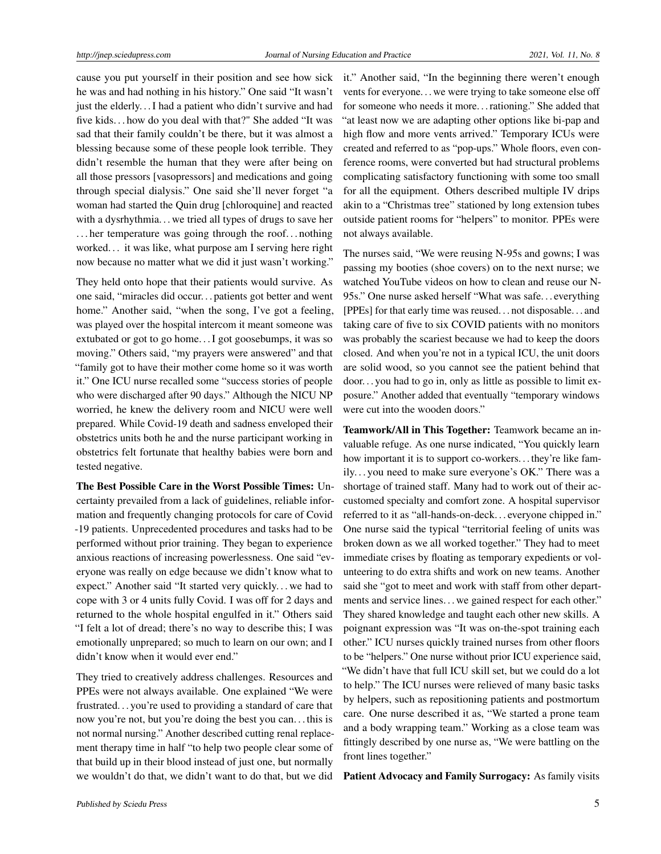cause you put yourself in their position and see how sick he was and had nothing in his history." One said "It wasn't just the elderly. . . I had a patient who didn't survive and had five kids. . . how do you deal with that?" She added "It was sad that their family couldn't be there, but it was almost a blessing because some of these people look terrible. They didn't resemble the human that they were after being on all those pressors [vasopressors] and medications and going through special dialysis." One said she'll never forget "a woman had started the Quin drug [chloroquine] and reacted with a dysrhythmia. . . we tried all types of drugs to save her . . . her temperature was going through the roof. . . nothing worked. . . it was like, what purpose am I serving here right now because no matter what we did it just wasn't working."

They held onto hope that their patients would survive. As one said, "miracles did occur. . . patients got better and went home." Another said, "when the song, I've got a feeling, was played over the hospital intercom it meant someone was extubated or got to go home. . . I got goosebumps, it was so moving." Others said, "my prayers were answered" and that "family got to have their mother come home so it was worth it." One ICU nurse recalled some "success stories of people who were discharged after 90 days." Although the NICU NP worried, he knew the delivery room and NICU were well prepared. While Covid-19 death and sadness enveloped their obstetrics units both he and the nurse participant working in obstetrics felt fortunate that healthy babies were born and tested negative.

The Best Possible Care in the Worst Possible Times: Uncertainty prevailed from a lack of guidelines, reliable information and frequently changing protocols for care of Covid -19 patients. Unprecedented procedures and tasks had to be performed without prior training. They began to experience anxious reactions of increasing powerlessness. One said "everyone was really on edge because we didn't know what to expect." Another said "It started very quickly. . . we had to cope with 3 or 4 units fully Covid. I was off for 2 days and returned to the whole hospital engulfed in it." Others said "I felt a lot of dread; there's no way to describe this; I was emotionally unprepared; so much to learn on our own; and I didn't know when it would ever end."

They tried to creatively address challenges. Resources and PPEs were not always available. One explained "We were frustrated. . . you're used to providing a standard of care that now you're not, but you're doing the best you can. . . this is not normal nursing." Another described cutting renal replacement therapy time in half "to help two people clear some of that build up in their blood instead of just one, but normally we wouldn't do that, we didn't want to do that, but we did it." Another said, "In the beginning there weren't enough vents for everyone. . . we were trying to take someone else off for someone who needs it more. . . rationing." She added that "at least now we are adapting other options like bi-pap and high flow and more vents arrived." Temporary ICUs were created and referred to as "pop-ups." Whole floors, even conference rooms, were converted but had structural problems complicating satisfactory functioning with some too small for all the equipment. Others described multiple IV drips akin to a "Christmas tree" stationed by long extension tubes outside patient rooms for "helpers" to monitor. PPEs were not always available.

The nurses said, "We were reusing N-95s and gowns; I was passing my booties (shoe covers) on to the next nurse; we watched YouTube videos on how to clean and reuse our N-95s." One nurse asked herself "What was safe. . . everything [PPEs] for that early time was reused. . . not disposable. . . and taking care of five to six COVID patients with no monitors was probably the scariest because we had to keep the doors closed. And when you're not in a typical ICU, the unit doors are solid wood, so you cannot see the patient behind that door. . . you had to go in, only as little as possible to limit exposure." Another added that eventually "temporary windows were cut into the wooden doors."

Teamwork/All in This Together: Teamwork became an invaluable refuge. As one nurse indicated, "You quickly learn how important it is to support co-workers. . . they're like family. . . you need to make sure everyone's OK." There was a shortage of trained staff. Many had to work out of their accustomed specialty and comfort zone. A hospital supervisor referred to it as "all-hands-on-deck. . . everyone chipped in." One nurse said the typical "territorial feeling of units was broken down as we all worked together." They had to meet immediate crises by floating as temporary expedients or volunteering to do extra shifts and work on new teams. Another said she "got to meet and work with staff from other departments and service lines. . . we gained respect for each other." They shared knowledge and taught each other new skills. A poignant expression was "It was on-the-spot training each other." ICU nurses quickly trained nurses from other floors to be "helpers." One nurse without prior ICU experience said, "We didn't have that full ICU skill set, but we could do a lot to help." The ICU nurses were relieved of many basic tasks by helpers, such as repositioning patients and postmortum care. One nurse described it as, "We started a prone team and a body wrapping team." Working as a close team was fittingly described by one nurse as, "We were battling on the front lines together."

Patient Advocacy and Family Surrogacy: As family visits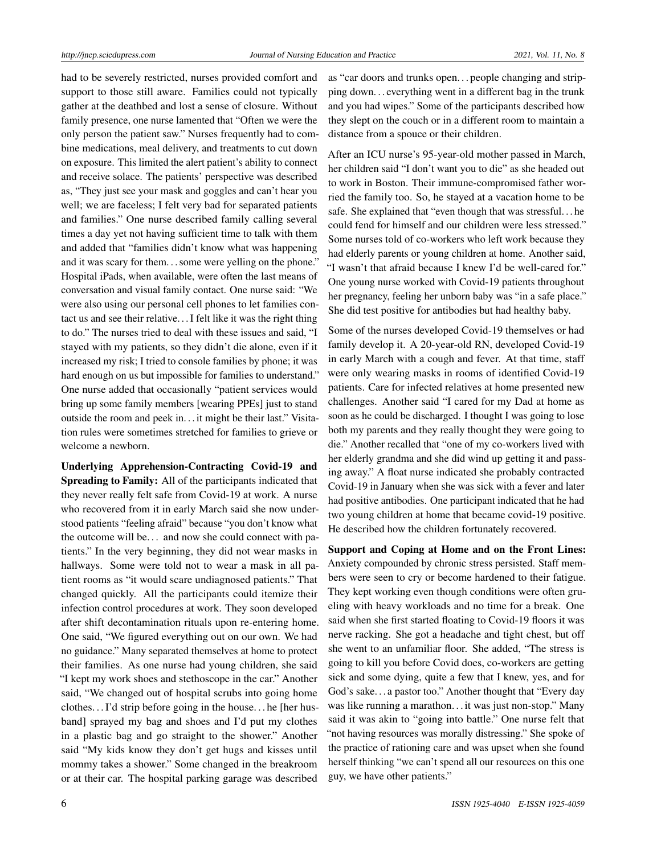had to be severely restricted, nurses provided comfort and support to those still aware. Families could not typically gather at the deathbed and lost a sense of closure. Without family presence, one nurse lamented that "Often we were the only person the patient saw." Nurses frequently had to combine medications, meal delivery, and treatments to cut down on exposure. This limited the alert patient's ability to connect and receive solace. The patients' perspective was described as, "They just see your mask and goggles and can't hear you well; we are faceless; I felt very bad for separated patients and families." One nurse described family calling several times a day yet not having sufficient time to talk with them and added that "families didn't know what was happening and it was scary for them... some were yelling on the phone." Hospital iPads, when available, were often the last means of conversation and visual family contact. One nurse said: "We were also using our personal cell phones to let families contact us and see their relative. . . I felt like it was the right thing to do." The nurses tried to deal with these issues and said, "I stayed with my patients, so they didn't die alone, even if it increased my risk; I tried to console families by phone; it was hard enough on us but impossible for families to understand." One nurse added that occasionally "patient services would bring up some family members [wearing PPEs] just to stand outside the room and peek in. . . it might be their last." Visitation rules were sometimes stretched for families to grieve or welcome a newborn.

Underlying Apprehension-Contracting Covid-19 and Spreading to Family: All of the participants indicated that they never really felt safe from Covid-19 at work. A nurse who recovered from it in early March said she now understood patients "feeling afraid" because "you don't know what the outcome will be... and now she could connect with patients." In the very beginning, they did not wear masks in hallways. Some were told not to wear a mask in all patient rooms as "it would scare undiagnosed patients." That changed quickly. All the participants could itemize their infection control procedures at work. They soon developed after shift decontamination rituals upon re-entering home. One said, "We figured everything out on our own. We had no guidance." Many separated themselves at home to protect their families. As one nurse had young children, she said "I kept my work shoes and stethoscope in the car." Another said, "We changed out of hospital scrubs into going home clothes. . . I'd strip before going in the house. . . he [her husband] sprayed my bag and shoes and I'd put my clothes in a plastic bag and go straight to the shower." Another said "My kids know they don't get hugs and kisses until mommy takes a shower." Some changed in the breakroom or at their car. The hospital parking garage was described

as "car doors and trunks open. . . people changing and stripping down. . . everything went in a different bag in the trunk and you had wipes." Some of the participants described how they slept on the couch or in a different room to maintain a distance from a spouce or their children.

After an ICU nurse's 95-year-old mother passed in March, her children said "I don't want you to die" as she headed out to work in Boston. Their immune-compromised father worried the family too. So, he stayed at a vacation home to be safe. She explained that "even though that was stressful. . . he could fend for himself and our children were less stressed." Some nurses told of co-workers who left work because they had elderly parents or young children at home. Another said, "I wasn't that afraid because I knew I'd be well-cared for." One young nurse worked with Covid-19 patients throughout her pregnancy, feeling her unborn baby was "in a safe place." She did test positive for antibodies but had healthy baby.

Some of the nurses developed Covid-19 themselves or had family develop it. A 20-year-old RN, developed Covid-19 in early March with a cough and fever. At that time, staff were only wearing masks in rooms of identified Covid-19 patients. Care for infected relatives at home presented new challenges. Another said "I cared for my Dad at home as soon as he could be discharged. I thought I was going to lose both my parents and they really thought they were going to die." Another recalled that "one of my co-workers lived with her elderly grandma and she did wind up getting it and passing away." A float nurse indicated she probably contracted Covid-19 in January when she was sick with a fever and later had positive antibodies. One participant indicated that he had two young children at home that became covid-19 positive. He described how the children fortunately recovered.

Support and Coping at Home and on the Front Lines: Anxiety compounded by chronic stress persisted. Staff members were seen to cry or become hardened to their fatigue. They kept working even though conditions were often grueling with heavy workloads and no time for a break. One said when she first started floating to Covid-19 floors it was nerve racking. She got a headache and tight chest, but off she went to an unfamiliar floor. She added, "The stress is going to kill you before Covid does, co-workers are getting sick and some dying, quite a few that I knew, yes, and for God's sake. . . a pastor too." Another thought that "Every day was like running a marathon. . . it was just non-stop." Many said it was akin to "going into battle." One nurse felt that "not having resources was morally distressing." She spoke of the practice of rationing care and was upset when she found herself thinking "we can't spend all our resources on this one guy, we have other patients."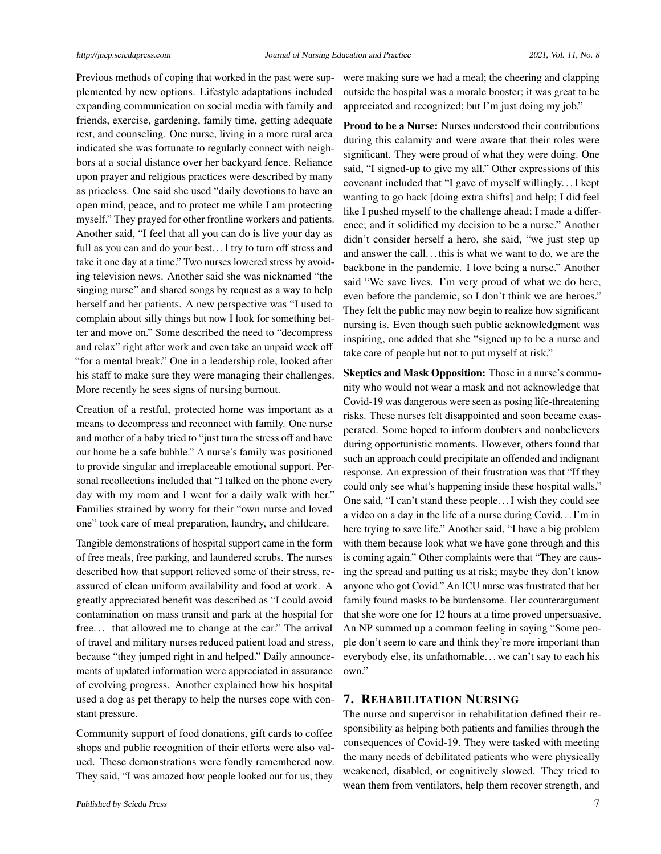Previous methods of coping that worked in the past were supplemented by new options. Lifestyle adaptations included expanding communication on social media with family and friends, exercise, gardening, family time, getting adequate rest, and counseling. One nurse, living in a more rural area indicated she was fortunate to regularly connect with neighbors at a social distance over her backyard fence. Reliance upon prayer and religious practices were described by many as priceless. One said she used "daily devotions to have an open mind, peace, and to protect me while I am protecting myself." They prayed for other frontline workers and patients. Another said, "I feel that all you can do is live your day as full as you can and do your best... I try to turn off stress and take it one day at a time." Two nurses lowered stress by avoiding television news. Another said she was nicknamed "the singing nurse" and shared songs by request as a way to help herself and her patients. A new perspective was "I used to complain about silly things but now I look for something better and move on." Some described the need to "decompress and relax" right after work and even take an unpaid week off "for a mental break." One in a leadership role, looked after his staff to make sure they were managing their challenges. More recently he sees signs of nursing burnout.

Creation of a restful, protected home was important as a means to decompress and reconnect with family. One nurse and mother of a baby tried to "just turn the stress off and have our home be a safe bubble." A nurse's family was positioned to provide singular and irreplaceable emotional support. Personal recollections included that "I talked on the phone every day with my mom and I went for a daily walk with her." Families strained by worry for their "own nurse and loved one" took care of meal preparation, laundry, and childcare.

Tangible demonstrations of hospital support came in the form of free meals, free parking, and laundered scrubs. The nurses described how that support relieved some of their stress, reassured of clean uniform availability and food at work. A greatly appreciated benefit was described as "I could avoid contamination on mass transit and park at the hospital for free. . . that allowed me to change at the car." The arrival of travel and military nurses reduced patient load and stress, because "they jumped right in and helped." Daily announcements of updated information were appreciated in assurance of evolving progress. Another explained how his hospital used a dog as pet therapy to help the nurses cope with constant pressure.

Community support of food donations, gift cards to coffee shops and public recognition of their efforts were also valued. These demonstrations were fondly remembered now. They said, "I was amazed how people looked out for us; they

were making sure we had a meal; the cheering and clapping outside the hospital was a morale booster; it was great to be appreciated and recognized; but I'm just doing my job."

Proud to be a Nurse: Nurses understood their contributions during this calamity and were aware that their roles were significant. They were proud of what they were doing. One said, "I signed-up to give my all." Other expressions of this covenant included that "I gave of myself willingly. . . I kept wanting to go back [doing extra shifts] and help; I did feel like I pushed myself to the challenge ahead; I made a difference; and it solidified my decision to be a nurse." Another didn't consider herself a hero, she said, "we just step up and answer the call. . . this is what we want to do, we are the backbone in the pandemic. I love being a nurse." Another said "We save lives. I'm very proud of what we do here, even before the pandemic, so I don't think we are heroes." They felt the public may now begin to realize how significant nursing is. Even though such public acknowledgment was inspiring, one added that she "signed up to be a nurse and take care of people but not to put myself at risk."

Skeptics and Mask Opposition: Those in a nurse's community who would not wear a mask and not acknowledge that Covid-19 was dangerous were seen as posing life-threatening risks. These nurses felt disappointed and soon became exasperated. Some hoped to inform doubters and nonbelievers during opportunistic moments. However, others found that such an approach could precipitate an offended and indignant response. An expression of their frustration was that "If they could only see what's happening inside these hospital walls." One said, "I can't stand these people. . . I wish they could see a video on a day in the life of a nurse during Covid. . . I'm in here trying to save life." Another said, "I have a big problem with them because look what we have gone through and this is coming again." Other complaints were that "They are causing the spread and putting us at risk; maybe they don't know anyone who got Covid." An ICU nurse was frustrated that her family found masks to be burdensome. Her counterargument that she wore one for 12 hours at a time proved unpersuasive. An NP summed up a common feeling in saying "Some people don't seem to care and think they're more important than everybody else, its unfathomable. . . we can't say to each his own."

#### 7. REHABILITATION NURSING

The nurse and supervisor in rehabilitation defined their responsibility as helping both patients and families through the consequences of Covid-19. They were tasked with meeting the many needs of debilitated patients who were physically weakened, disabled, or cognitively slowed. They tried to wean them from ventilators, help them recover strength, and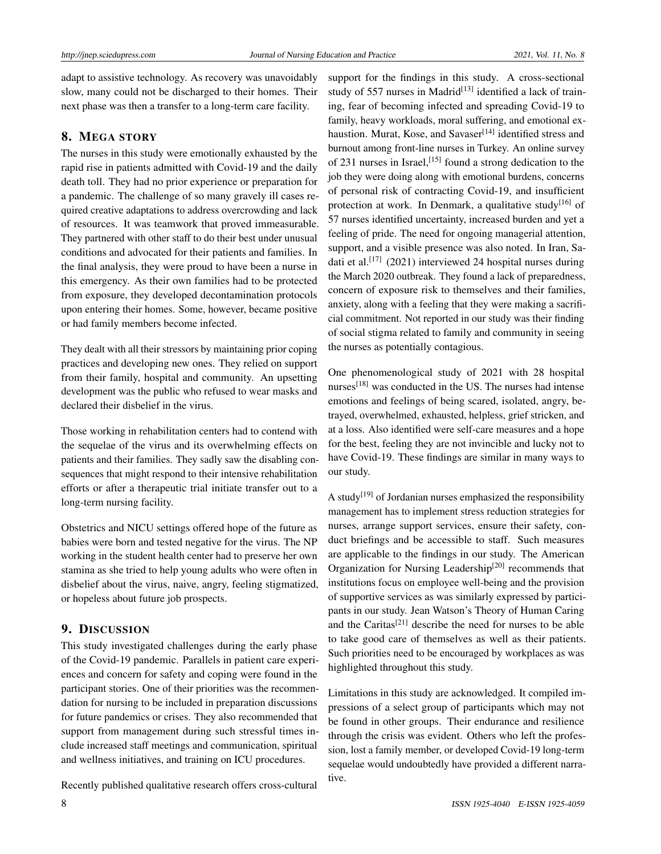adapt to assistive technology. As recovery was unavoidably slow, many could not be discharged to their homes. Their next phase was then a transfer to a long-term care facility.

# 8. MEGA STORY

The nurses in this study were emotionally exhausted by the rapid rise in patients admitted with Covid-19 and the daily death toll. They had no prior experience or preparation for a pandemic. The challenge of so many gravely ill cases required creative adaptations to address overcrowding and lack of resources. It was teamwork that proved immeasurable. They partnered with other staff to do their best under unusual conditions and advocated for their patients and families. In the final analysis, they were proud to have been a nurse in this emergency. As their own families had to be protected from exposure, they developed decontamination protocols upon entering their homes. Some, however, became positive or had family members become infected.

They dealt with all their stressors by maintaining prior coping practices and developing new ones. They relied on support from their family, hospital and community. An upsetting development was the public who refused to wear masks and declared their disbelief in the virus.

Those working in rehabilitation centers had to contend with the sequelae of the virus and its overwhelming effects on patients and their families. They sadly saw the disabling consequences that might respond to their intensive rehabilitation efforts or after a therapeutic trial initiate transfer out to a long-term nursing facility.

Obstetrics and NICU settings offered hope of the future as babies were born and tested negative for the virus. The NP working in the student health center had to preserve her own stamina as she tried to help young adults who were often in disbelief about the virus, naive, angry, feeling stigmatized, or hopeless about future job prospects.

# 9. DISCUSSION

This study investigated challenges during the early phase of the Covid-19 pandemic. Parallels in patient care experiences and concern for safety and coping were found in the participant stories. One of their priorities was the recommendation for nursing to be included in preparation discussions for future pandemics or crises. They also recommended that support from management during such stressful times include increased staff meetings and communication, spiritual and wellness initiatives, and training on ICU procedures.

Recently published qualitative research offers cross-cultural

support for the findings in this study. A cross-sectional study of 557 nurses in Madrid<sup>[\[13\]](#page-8-12)</sup> identified a lack of training, fear of becoming infected and spreading Covid-19 to family, heavy workloads, moral suffering, and emotional ex-haustion. Murat, Kose, and Savaser<sup>[\[14\]](#page-8-13)</sup> identified stress and burnout among front-line nurses in Turkey. An online survey of 231 nurses in Israel,<sup>[\[15\]](#page-8-14)</sup> found a strong dedication to the job they were doing along with emotional burdens, concerns of personal risk of contracting Covid-19, and insufficient protection at work. In Denmark, a qualitative study<sup>[\[16\]](#page-8-15)</sup> of 57 nurses identified uncertainty, increased burden and yet a feeling of pride. The need for ongoing managerial attention, support, and a visible presence was also noted. In Iran, Sa-dati et al.<sup>[\[17\]](#page-8-16)</sup> (2021) interviewed 24 hospital nurses during the March 2020 outbreak. They found a lack of preparedness, concern of exposure risk to themselves and their families, anxiety, along with a feeling that they were making a sacrificial commitment. Not reported in our study was their finding of social stigma related to family and community in seeing the nurses as potentially contagious.

One phenomenological study of 2021 with 28 hospital nurses $^{[18]}$  $^{[18]}$  $^{[18]}$  was conducted in the US. The nurses had intense emotions and feelings of being scared, isolated, angry, betrayed, overwhelmed, exhausted, helpless, grief stricken, and at a loss. Also identified were self-care measures and a hope for the best, feeling they are not invincible and lucky not to have Covid-19. These findings are similar in many ways to our study.

A study<sup>[\[19\]](#page-8-18)</sup> of Jordanian nurses emphasized the responsibility management has to implement stress reduction strategies for nurses, arrange support services, ensure their safety, conduct briefings and be accessible to staff. Such measures are applicable to the findings in our study. The American Organization for Nursing Leadership<sup>[\[20\]](#page-8-19)</sup> recommends that institutions focus on employee well-being and the provision of supportive services as was similarly expressed by participants in our study. Jean Watson's Theory of Human Caring and the Caritas<sup>[\[21\]](#page-9-0)</sup> describe the need for nurses to be able to take good care of themselves as well as their patients. Such priorities need to be encouraged by workplaces as was highlighted throughout this study.

Limitations in this study are acknowledged. It compiled impressions of a select group of participants which may not be found in other groups. Their endurance and resilience through the crisis was evident. Others who left the profession, lost a family member, or developed Covid-19 long-term sequelae would undoubtedly have provided a different narrative.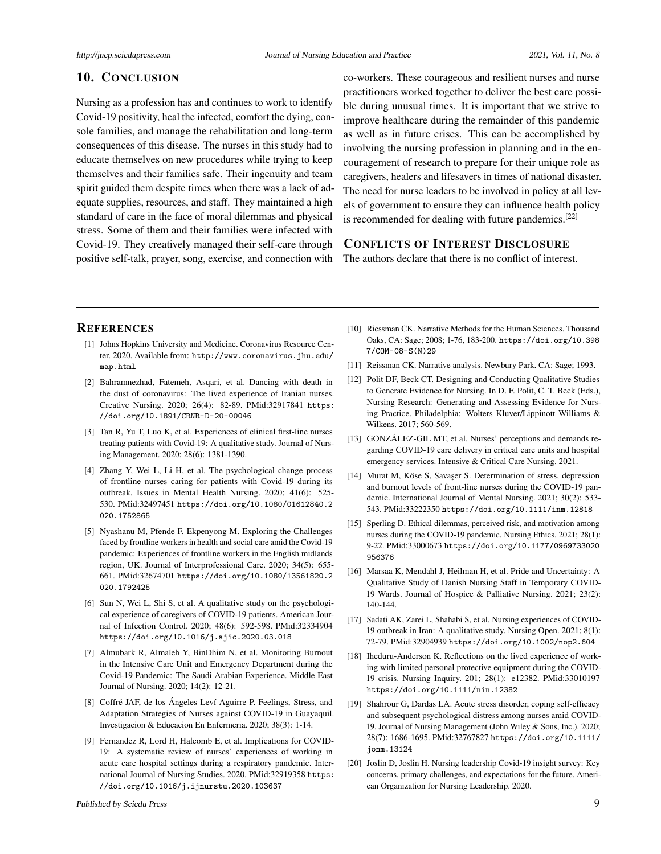## 10. CONCLUSION

Nursing as a profession has and continues to work to identify Covid-19 positivity, heal the infected, comfort the dying, console families, and manage the rehabilitation and long-term consequences of this disease. The nurses in this study had to educate themselves on new procedures while trying to keep themselves and their families safe. Their ingenuity and team spirit guided them despite times when there was a lack of adequate supplies, resources, and staff. They maintained a high standard of care in the face of moral dilemmas and physical stress. Some of them and their families were infected with Covid-19. They creatively managed their self-care through positive self-talk, prayer, song, exercise, and connection with

co-workers. These courageous and resilient nurses and nurse practitioners worked together to deliver the best care possible during unusual times. It is important that we strive to improve healthcare during the remainder of this pandemic as well as in future crises. This can be accomplished by involving the nursing profession in planning and in the encouragement of research to prepare for their unique role as caregivers, healers and lifesavers in times of national disaster. The need for nurse leaders to be involved in policy at all levels of government to ensure they can influence health policy is recommended for dealing with future pandemics.<sup>[\[22\]](#page-9-1)</sup>

## CONFLICTS OF INTEREST DISCLOSURE

The authors declare that there is no conflict of interest.

## **REFERENCES**

- <span id="page-8-0"></span>[1] Johns Hopkins University and Medicine. Coronavirus Resource Center. 2020. Available from: [http://www.coronavirus.jhu.edu/](http://www. coronavirus.jhu.edu/map.html) [map.html](http://www. coronavirus.jhu.edu/map.html)
- <span id="page-8-1"></span>[2] Bahramnezhad, Fatemeh, Asqari, et al. Dancing with death in the dust of coronavirus: The lived experience of Iranian nurses. Creative Nursing. 2020; 26(4): 82-89. PMid:32917841 [https:](https://doi.org/10.1891/CRNR-D-20-00046) [//doi.org/10.1891/CRNR-D-20-00046](https://doi.org/10.1891/CRNR-D-20-00046)
- <span id="page-8-2"></span>[3] Tan R, Yu T, Luo K, et al. Experiences of clinical first-line nurses treating patients with Covid-19: A qualitative study. Journal of Nursing Management. 2020; 28(6): 1381-1390.
- <span id="page-8-3"></span>[4] Zhang Y, Wei L, Li H, et al. The psychological change process of frontline nurses caring for patients with Covid-19 during its outbreak. Issues in Mental Health Nursing. 2020; 41(6): 525- 530. PMid:32497451 [https://doi.org/10.1080/01612840.2](https://doi.org/10.1080/01612840.2020.1752865 ) [020.1752865](https://doi.org/10.1080/01612840.2020.1752865 )
- <span id="page-8-4"></span>[5] Nyashanu M, Pfende F, Ekpenyong M. Exploring the Challenges faced by frontline workers in health and social care amid the Covid-19 pandemic: Experiences of frontline workers in the English midlands region, UK. Journal of Interprofessional Care. 2020; 34(5): 655- 661. PMid:32674701 [https://doi.org/10.1080/13561820.2](https://doi.org/10.1080/13561820.2020.1792425) [020.1792425](https://doi.org/10.1080/13561820.2020.1792425)
- <span id="page-8-5"></span>[6] Sun N, Wei L, Shi S, et al. A qualitative study on the psychological experience of caregivers of COVID-19 patients. American Journal of Infection Control. 2020; 48(6): 592-598. PMid:32334904 <https://doi.org/10.1016/j.ajic.2020.03.018>
- <span id="page-8-6"></span>[7] Almubark R, Almaleh Y, BinDhim N, et al. Monitoring Burnout in the Intensive Care Unit and Emergency Department during the Covid-19 Pandemic: The Saudi Arabian Experience. Middle East Journal of Nursing. 2020; 14(2): 12-21.
- <span id="page-8-7"></span>[8] Coffré JAF, de los Ángeles Leví Aguirre P. Feelings, Stress, and Adaptation Strategies of Nurses against COVID-19 in Guayaquil. Investigacion & Educacion En Enfermeria. 2020; 38(3): 1-14.
- <span id="page-8-8"></span>[9] Fernandez R, Lord H, Halcomb E, et al. Implications for COVID-19: A systematic review of nurses' experiences of working in acute care hospital settings during a respiratory pandemic. International Journal of Nursing Studies. 2020. PMid:32919358 [https:](https://doi.org/10.1016/j.ijnurstu.2020.103637) [//doi.org/10.1016/j.ijnurstu.2020.103637](https://doi.org/10.1016/j.ijnurstu.2020.103637)
- <span id="page-8-9"></span>[10] Riessman CK. Narrative Methods for the Human Sciences. Thousand Oaks, CA: Sage; 2008; 1-76, 183-200. [https://doi.org/10.398](https://doi.org/10.3987/COM-08-S(N)29) [7/COM-08-S\(N\)29](https://doi.org/10.3987/COM-08-S(N)29)
- <span id="page-8-10"></span>[11] Reissman CK. Narrative analysis. Newbury Park. CA: Sage; 1993.
- <span id="page-8-11"></span>[12] Polit DF, Beck CT. Designing and Conducting Qualitative Studies to Generate Evidence for Nursing. In D. F. Polit, C. T. Beck (Eds.), Nursing Research: Generating and Assessing Evidence for Nursing Practice. Philadelphia: Wolters Kluver/Lippinott Williams & Wilkens. 2017; 560-569.
- <span id="page-8-12"></span>[13] GONZÁLEZ-GIL MT, et al. Nurses' perceptions and demands regarding COVID-19 care delivery in critical care units and hospital emergency services. Intensive & Critical Care Nursing. 2021.
- <span id="page-8-13"></span>[14] Murat M, Köse S, Savaşer S. Determination of stress, depression and burnout levels of front-line nurses during the COVID-19 pandemic. International Journal of Mental Nursing. 2021; 30(2): 533- 543. PMid:33222350 <https://doi.org/10.1111/inm.12818>
- <span id="page-8-14"></span>[15] Sperling D. Ethical dilemmas, perceived risk, and motivation among nurses during the COVID-19 pandemic. Nursing Ethics. 2021; 28(1): 9-22. PMid:33000673 [https://doi.org/10.1177/0969733020](https://doi.org/10.1177/0969733020956376) [956376](https://doi.org/10.1177/0969733020956376)
- <span id="page-8-15"></span>[16] Marsaa K, Mendahl J, Heilman H, et al. Pride and Uncertainty: A Qualitative Study of Danish Nursing Staff in Temporary COVID-19 Wards. Journal of Hospice & Palliative Nursing. 2021; 23(2): 140-144.
- <span id="page-8-16"></span>[17] Sadati AK, Zarei L, Shahabi S, et al. Nursing experiences of COVID-19 outbreak in Iran: A qualitative study. Nursing Open. 2021; 8(1): 72-79. PMid:32904939 <https://doi.org/10.1002/nop2.604>
- <span id="page-8-17"></span>[18] Iheduru-Anderson K. Reflections on the lived experience of working with limited personal protective equipment during the COVID-19 crisis. Nursing Inquiry. 201; 28(1): e12382. PMid:33010197 <https://doi.org/10.1111/nin.12382>
- <span id="page-8-18"></span>[19] Shahrour G, Dardas LA. Acute stress disorder, coping self-efficacy and subsequent psychological distress among nurses amid COVID-19. Journal of Nursing Management (John Wiley & Sons, Inc.). 2020; 28(7): 1686-1695. PMid:32767827 [https://doi.org/10.1111/](https://doi.org/10.1111/jonm.13124) [jonm.13124](https://doi.org/10.1111/jonm.13124)
- <span id="page-8-19"></span>[20] Joslin D, Joslin H. Nursing leadership Covid-19 insight survey: Key concerns, primary challenges, and expectations for the future. American Organization for Nursing Leadership. 2020.